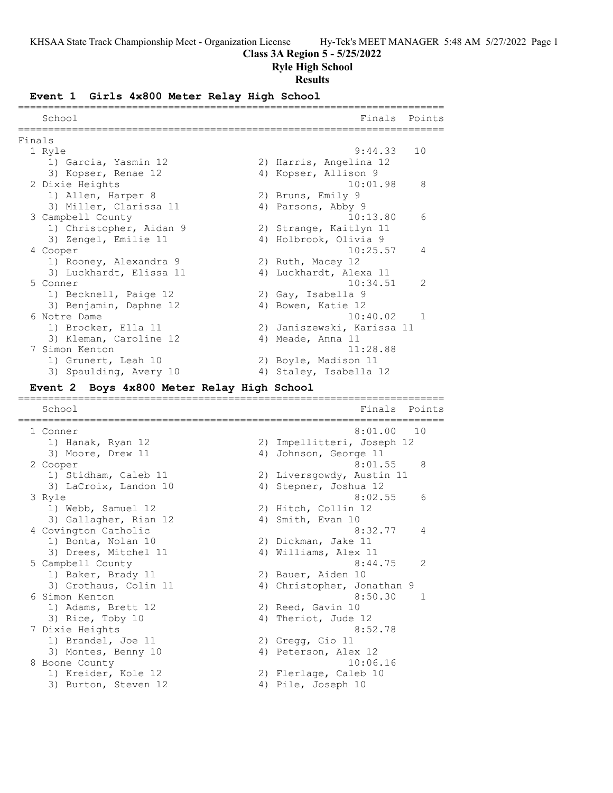## **Class 3A Region 5 - 5/25/2022**

## **Ryle High School**

#### **Results**

#### **Event 1 Girls 4x800 Meter Relay High School**

|        | School                                               |    | Finals                     | Points |
|--------|------------------------------------------------------|----|----------------------------|--------|
|        |                                                      |    |                            |        |
| Finals |                                                      |    |                            |        |
|        | 1 Ryle                                               |    | 9:44.33                    | 10     |
|        | 1) Garcia, Yasmin 12                                 |    | 2) Harris, Angelina 12     |        |
|        | 3) Kopser, Renae 12                                  |    | 4) Kopser, Allison 9       |        |
|        | 2 Dixie Heights                                      |    | 10:01.98                   | 8      |
|        | 1) Allen, Harper 8                                   |    | 2) Bruns, Emily 9          |        |
|        | 3) Miller, Clarissa 11                               |    | 4) Parsons, Abby 9         |        |
|        | 3 Campbell County                                    |    | 10:13.80                   | 6      |
|        | 1) Christopher, Aidan 9                              |    | 2) Strange, Kaitlyn 11     |        |
|        | 3) Zengel, Emilie 11                                 |    | 4) Holbrook, Olivia 9      |        |
|        | 4 Cooper                                             |    | 10:25.57                   | 4      |
|        | 1) Rooney, Alexandra 9                               |    | 2) Ruth, Macey 12          |        |
|        | 3) Luckhardt, Elissa 11                              |    | 4) Luckhardt, Alexa 11     |        |
|        | 5 Conner                                             |    | 10:34.51                   | 2      |
|        | 1) Becknell, Paige 12                                |    | 2) Gay, Isabella 9         |        |
|        | 3) Benjamin, Daphne 12                               |    | 4) Bowen, Katie 12         |        |
|        | 6 Notre Dame                                         |    | 10:40.02                   | -1     |
|        | 1) Brocker, Ella 11                                  |    | 2) Janiszewski, Karissa 11 |        |
|        | 3) Kleman, Caroline 12                               |    | 4) Meade, Anna 11          |        |
|        | 7 Simon Kenton                                       |    | 11:28.88                   |        |
|        | 1) Grunert, Leah 10                                  |    | 2) Boyle, Madison 11       |        |
|        | 3) Spaulding, Avery 10                               |    | 4) Staley, Isabella 12     |        |
|        | Boys 4x800 Meter Relay High School<br><b>Event 2</b> |    |                            |        |
|        |                                                      |    |                            |        |
|        | School                                               |    | Finals                     | Points |
|        | 1 Conner                                             |    | 8:01.00                    | 1 O    |
|        | 1) Hanak, Ryan 12                                    |    | 2) Impellitteri, Joseph 12 |        |
|        | 3) Moore, Drew 11                                    | 4) | Johnson, George 11         |        |
|        | 2 Cooper                                             |    | 8:01.55                    | 8      |
|        | 1) Stidham, Caleb 11                                 |    | 2) Liversgowdy, Austin 11  |        |

 3) LaCroix, Landon 10 4) Stepner, Joshua 12 3 Ryle 8:02.55 6 1) Webb, Samuel 12 2) Hitch, Collin 12 3) Gallagher, Rian 12 4) Smith, Evan 10 4 Covington Catholic 8:32.77 4 1) Bonta, Nolan 10 2) Dickman, Jake 11 3) Drees, Mitchel 11 (4) Williams, Alex 11 5 Campbell County 8:44.75 2 1) Baker, Brady 11 2) Bauer, Aiden 10 3) Grothaus, Colin 11 4) Christopher, Jonathan 9 6 Simon Kenton 8:50.30 1 1) Adams, Brett 12 2) Reed, Gavin 10 3) Rice, Toby 10 4) Theriot, Jude 12 7 Dixie Heights 8:52.78 1) Brandel, Joe 11 2) Gregg, Gio 11 3) Montes, Benny 10 (4) Peterson, Alex 12 8 Boone County 10:06.16 1) Kreider, Kole 12 2) Flerlage, Caleb 10

3) Burton, Steven 12 (4) Pile, Joseph 10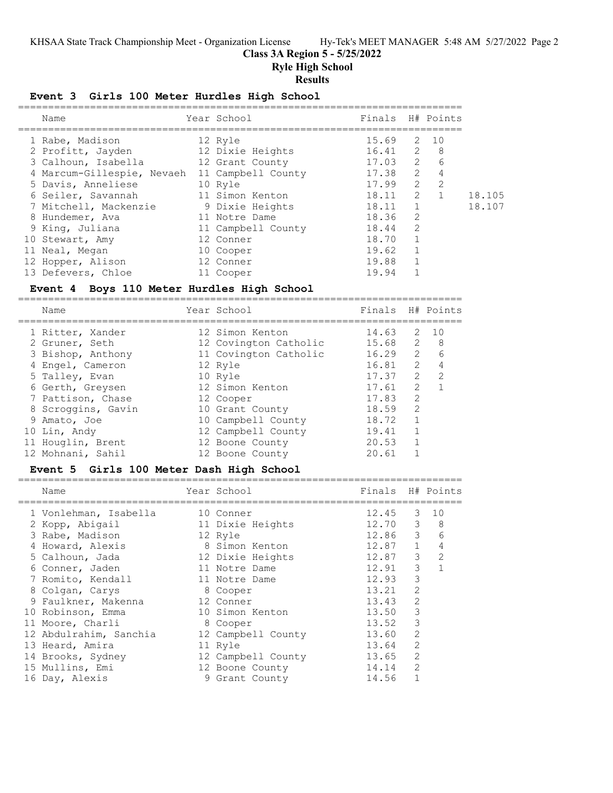## **Class 3A Region 5 - 5/25/2022**

**Ryle High School**

#### **Results**

#### **Event 3 Girls 100 Meter Hurdles High School**

| Name                       | Year School        | Finals H# Points |               |                |        |
|----------------------------|--------------------|------------------|---------------|----------------|--------|
| 1 Rabe, Madison            | 12 Ryle            | 15.69            |               | 2 10           |        |
| 2 Profitt, Jayden          | 12 Dixie Heights   | $16.41$ 2        |               | - 8            |        |
| 3 Calhoun, Isabella        | 12 Grant County    | 17.03 2          |               | 6              |        |
| 4 Marcum-Gillespie, Nevaeh | 11 Campbell County | 17.38            | 2             | 4              |        |
| 5 Davis, Anneliese         | 10 Ryle            | 17.99            | 2             | $\overline{2}$ |        |
| 6 Seiler, Savannah         | 11 Simon Kenton    | 18.11            | $\mathcal{L}$ |                | 18.105 |
| 7 Mitchell, Mackenzie      | 9 Dixie Heights    | 18.11            |               |                | 18.107 |
| 8 Hundemer, Ava            | 11 Notre Dame      | 18.36            | 2             |                |        |
| 9 King, Juliana            | 11 Campbell County | 18.44            | 2             |                |        |
| 10 Stewart, Amy            | 12 Conner          | 18.70            |               |                |        |
| 11 Neal, Megan             | 10 Cooper          | 19.62            |               |                |        |
| 12 Hopper, Alison          | 12 Conner          | 19.88            |               |                |        |
| 13 Defevers, Chloe         | 11 Cooper          | 19.94            |               |                |        |

### **Event 4 Boys 110 Meter Hurdles High School**

========================================================================== Year School **Finals** H# Points ========================================================================== 1 Ritter, Xander 12 Simon Kenton 14.63 2 10 2 Gruner, Seth 12 Covington Catholic 15.68 2 8 3 Bishop, Anthony 11 Covington Catholic 16.29 2 6 4 Engel, Cameron 12 Ryle 16.81 2 4 5 Talley, Evan 10 Ryle 17.37 2 2 6 Gerth, Greysen 12 Simon Kenton 17.61 2 1 7 Pattison, Chase 12 Cooper 17.83 2 8 Scroggins, Gavin 10 Grant County 18.59 2 9 Amato, Joe 10 Campbell County 18.72 1 10 Lin, Andy 12 Campbell County 19.41 1 11 Houglin, Brent 12 Boone County 20.53 1 12 Mohnani, Sahil 12 Boone County 12 Mohnani, 20.61 1

## **Event 5 Girls 100 Meter Dash High School**

| Name                   | Year School        | Finals H# Points |                |    |
|------------------------|--------------------|------------------|----------------|----|
| 1 Vonlehman, Isabella  | 10 Conner          | 12.45            | 3              | 10 |
| 2 Kopp, Abigail        | 11 Dixie Heights   | 12.70            | 3              | 8  |
| 3 Rabe, Madison        | 12 Ryle            | 12.86            | 3              | 6  |
| 4 Howard, Alexis       | 8 Simon Kenton     | 12.87            | $\mathbf{1}$   | 4  |
| 5 Calhoun, Jada        | 12 Dixie Heights   | 12.87            | 3              | 2  |
| 6 Conner, Jaden        | 11 Notre Dame      | 12.91            | 3              |    |
| 7 Romito, Kendall      | 11 Notre Dame      | 12.93            | 3              |    |
| 8 Colgan, Carys        | 8 Cooper           | 13.21            | 2              |    |
| 9 Faulkner, Makenna    | 12 Conner          | 13.43            | $\overline{2}$ |    |
| 10 Robinson, Emma      | 10 Simon Kenton    | 13.50            | 3              |    |
| 11 Moore, Charli       | 8 Cooper           | 13.52            | 3              |    |
| 12 Abdulrahim, Sanchia | 12 Campbell County | 13.60            | 2              |    |
| 13 Heard, Amira        | 11 Ryle            | 13.64            | $\overline{2}$ |    |
| 14 Brooks, Sydney      | 12 Campbell County | 13.65            | $\overline{2}$ |    |
| 15 Mullins, Emi        | 12 Boone County    | 14.14            | $\overline{2}$ |    |
| 16 Day, Alexis         | 9 Grant County     | 14.56            |                |    |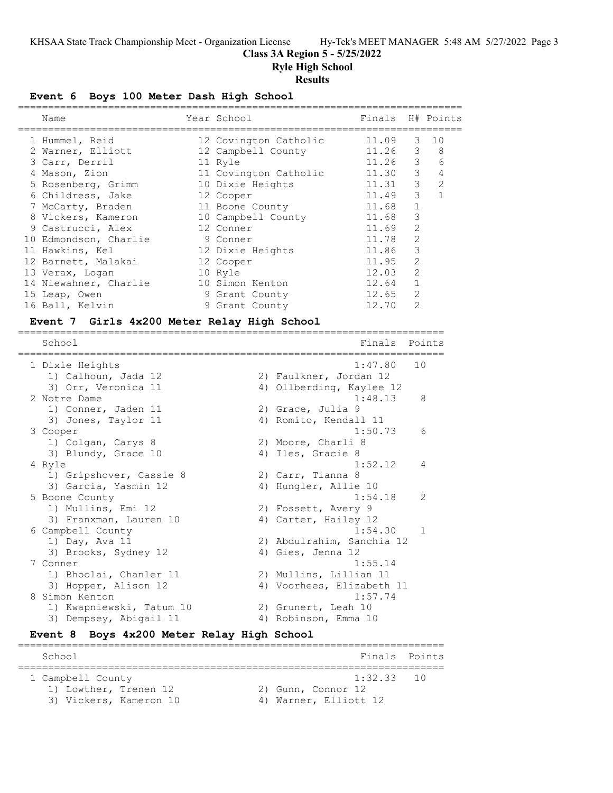## **Class 3A Region 5 - 5/25/2022**

**Ryle High School**

#### **Results**

**Event 6 Boys 100 Meter Dash High School**

| Name                  | Year School           | Finals H# Points |                |                |
|-----------------------|-----------------------|------------------|----------------|----------------|
| 1 Hummel, Reid        | 12 Covington Catholic | 11.09            | 3              | 10             |
| 2 Warner, Elliott     | 12 Campbell County    | 11.26            | 3              | 8              |
| 3 Carr, Derril        | 11 Ryle               | 11.26            | 3              | 6              |
| 4 Mason, Zion         | 11 Covington Catholic | 11.30            | 3              | 4              |
| 5 Rosenberg, Grimm    | 10 Dixie Heights      | 11.31            | 3              | $\overline{2}$ |
| 6 Childress, Jake     | 12 Cooper             | 11.49            | 3              |                |
| 7 McCarty, Braden     | 11 Boone County       | 11.68            |                |                |
| 8 Vickers, Kameron    | 10 Campbell County    | 11.68            | 3              |                |
| 9 Castrucci, Alex     | 12 Conner             | 11.69            | $\overline{2}$ |                |
| 10 Edmondson, Charlie | 9 Conner              | 11.78            | $\mathcal{L}$  |                |
| 11 Hawkins, Kel       | 12 Dixie Heights      | 11.86            | 3              |                |
| 12 Barnett, Malakai   | 12 Cooper             | 11.95            | $\mathcal{L}$  |                |
| 13 Verax, Logan       | 10 Ryle               | 12.03            | $\mathcal{L}$  |                |
| 14 Niewahner, Charlie | 10 Simon Kenton       | 12.64            |                |                |
| 15 Leap, Owen         | 9 Grant County        | 12.65            | $\mathcal{L}$  |                |
| 16 Ball, Kelvin       | 9 Grant County        | 12.70            | 2              |                |
|                       |                       |                  |                |                |

#### **Event 7 Girls 4x200 Meter Relay High School** =======================================================================

School **Finals** Points ======================================================================= 1 Dixie Heights 1:47.80 10 1) Calhoun, Jada 12 2) Faulkner, Jordan 12 3) Orr, Veronica 11 4) Ollberding, Kaylee 12 2 Notre Dame 1:48.13 8 1) Conner, Jaden 11 (2) Grace, Julia 9 3) Jones, Taylor 11 (4) Anglob, Kendall 11 3 Cooper 1:50.73 6 1) Colgan, Carys 8 2) Moore, Charli 8 3) Blundy, Grace 10 4) Iles, Gracie 8 4 Ryle 1:52.12 4 1) Gripshover, Cassie 8 2) Carr, Tianna 8 3) Garcia, Yasmin 12 (4) Hungler, Allie 10 5 Boone County 2012 1:54.18 2 1) Mullins, Emi 12 2) Fossett, Avery 9 3) Franxman, Lauren 10 (4) Carter, Hailey 12 6 Campbell County 1:54.30 1 1) Day, Ava 11 2) Abdulrahim, Sanchia 12 3) Brooks, Sydney 12 (2) Abdulrahim, Sanchia 12<br>3) Brooks, Sydney 12 (4) Gies, Jenna 12<br>4) Gies, Jenna 12 (1:55.14) 7 Conner 1:55.14 1) Bhoolai, Chanler 11 2) Mullins, Lillian 11 3) Hopper, Alison 12 4) Voorhees, Elizabeth 11 8 Simon Kenton 1:57.74 1) Kwapniewski, Tatum 10 2) Grunert, Leah 10 3) Dempsey, Abigail 11 (4) Robinson, Emma 10

#### **Event 8 Boys 4x200 Meter Relay High School**

======================================================================= School **Finals** Points **School** ======================================================================= 1 Campbell County 1:32.33 10 1) Lowther, Trenen 12 2) Gunn, Connor 12 3) Vickers, Kameron 10 4) Warner, Elliott 12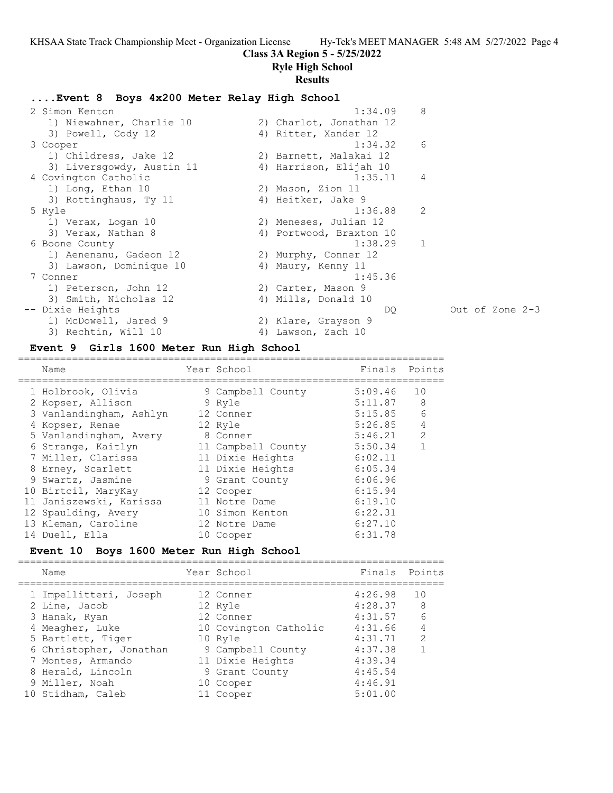## **Class 3A Region 5 - 5/25/2022**

## **Ryle High School**

#### **Results**

## **....Event 8 Boys 4x200 Meter Relay High School**

| 2 Simon Kenton            | 8<br>1:34.09             |     |
|---------------------------|--------------------------|-----|
| 1) Niewahner, Charlie 10  | 2) Charlot, Jonathan 12  |     |
| 3) Powell, Cody 12        | 4) Ritter, Xander 12     |     |
| 3 Cooper                  | 6<br>1:34.32             |     |
| 1) Childress, Jake 12     | 2) Barnett, Malakai 12   |     |
| 3) Liversgowdy, Austin 11 | 4) Harrison, Elijah 10   |     |
| 4 Covington Catholic      | 4<br>1:35.11             |     |
| 1) Long, Ethan 10         | 2) Mason, Zion 11        |     |
| 3) Rottinghaus, Ty 11     | 4) Heitker, Jake 9       |     |
| 5 Ryle                    | $\mathcal{L}$<br>1:36.88 |     |
| 1) Verax, Logan 10        | 2) Meneses, Julian 12    |     |
| 3) Verax, Nathan 8        | 4) Portwood, Braxton 10  |     |
| 6 Boone County            | $\mathbf{1}$<br>1:38.29  |     |
| 1) Aenenanu, Gadeon 12    | 2) Murphy, Conner 12     |     |
| 3) Lawson, Dominique 10   | 4) Maury, Kenny 11       |     |
| 7 Conner                  | 1:45.36                  |     |
| 1) Peterson, John 12      | 2) Carter, Mason 9       |     |
| 3) Smith, Nicholas 12     | 4) Mills, Donald 10      |     |
| Dixie Heights             | DO.                      | Out |
| 1) McDowell, Jared 9      | 2) Klare, Grayson 9      |     |
| 3) Rechtin, Will 10       | 4) Lawson, Zach 10       |     |
|                           |                          |     |

#### **Event 9 Girls 1600 Meter Run High School**

======================================================================= Name The Year School The Points Points Points ======================================================================= 1 Holbrook, Olivia 9 Campbell County 5:09.46 10 2 Kopser, Allison 9 Ryle 5:11.87 8 3 Vanlandingham, Ashlyn 12 Conner 5:15.85 6 4 Kopser, Renae 12 Ryle 5:26.85 4 5 Vanlandingham, Avery 8 Conner 5:46.21 2 6 Strange, Kaitlyn 11 Campbell County 5:50.34 1 7 Miller, Clarissa 11 Dixie Heights 6:02.11 8 Erney, Scarlett 11 Dixie Heights 6:05.34 9 Swartz, Jasmine 9 Grant County 6:06.96 10 Birtcil, MaryKay 12 Cooper 6:15.94 11 Janiszewski, Karissa 11 Notre Dame 6:19.10 12 Spaulding, Avery 10 Simon Kenton 6:22.31 13 Kleman, Caroline 12 Notre Dame 6:27.10 14 Duell, Ella 10 Cooper 6:31.78

## **Event 10 Boys 1600 Meter Run High School**

======================================================================= Year School **Finals** Points ======================================================================= 1 Impellitteri, Joseph 12 Conner 4:26.98 10 2 Line, Jacob 12 Ryle 4:28.37 8 3 Hanak, Ryan 12 Conner 4:31.57 6 4 Meagher, Luke  $10$  Covington Catholic  $4:31.66$  4 5 Bartlett, Tiger 10 Ryle 4:31.71 2 6 Christopher, Jonathan 9 Campbell County 4:37.38 1 7 Montes, Armando 11 Dixie Heights 4:39.34 8 Herald, Lincoln 9 Grant County 4:45.54 9 Miller, Noah 10 Cooper 4:46.91 10 Stidham, Caleb 11 Cooper 5:01.00

of Zone 2-3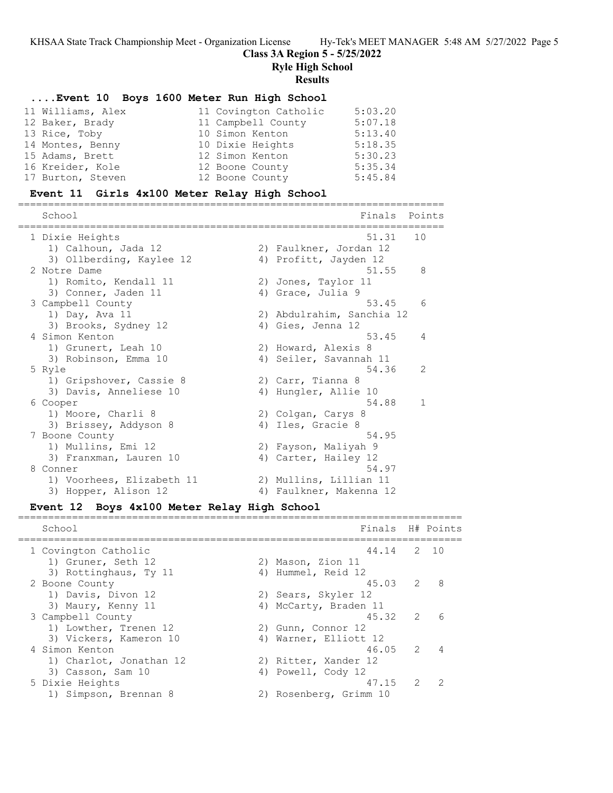## **Class 3A Region 5 - 5/25/2022**

**Ryle High School**

#### **Results**

## **....Event 10 Boys 1600 Meter Run High School**

| 11 Williams, Alex | 11 Covington Catholic | 5:03.20 |
|-------------------|-----------------------|---------|
| 12 Baker, Brady   | 11 Campbell County    | 5:07.18 |
| 13 Rice, Toby     | 10 Simon Kenton       | 5:13.40 |
| 14 Montes, Benny  | 10 Dixie Heights      | 5:18.35 |
| 15 Adams, Brett   | 12 Simon Kenton       | 5:30.23 |
| 16 Kreider, Kole  | 12 Boone County       | 5:35.34 |
| 17 Burton, Steven | 12 Boone County       | 5:45.84 |

## **Event 11 Girls 4x100 Meter Relay High School**

| School                                       | Finals                                         | Points       |
|----------------------------------------------|------------------------------------------------|--------------|
| 1 Dixie Heights                              | 51.31                                          | 10           |
| 1) Calhoun, Jada 12                          | 2) Faulkner, Jordan 12                         |              |
| 3) Ollberding, Kaylee 12                     | 4) Profitt, Jayden 12                          |              |
| 2 Notre Dame                                 | 51.55                                          | 8            |
| 1) Romito, Kendall 11                        | 2) Jones, Taylor 11                            |              |
| 3) Conner, Jaden 11                          | 4) Grace, Julia 9                              |              |
| 3 Campbell County                            | 53.45                                          | 6            |
| 1) Day, Ava 11<br>3) Brooks, Sydney 12       | 2) Abdulrahim, Sanchia 12<br>4) Gies, Jenna 12 |              |
| 4 Simon Kenton                               | 53.45                                          | 4            |
| 1) Grunert, Leah 10                          | 2) Howard, Alexis 8                            |              |
| 3) Robinson, Emma 10                         | 4) Seiler, Savannah 11                         |              |
| 5 Ryle                                       | 54.36                                          | 2            |
| 1) Gripshover, Cassie 8                      | 2) Carr, Tianna 8                              |              |
| 3) Davis, Anneliese 10                       | 4) Hungler, Allie 10                           |              |
| 6 Cooper                                     | 54.88                                          | $\mathbf{1}$ |
| 1) Moore, Charli 8                           | 2) Colgan, Carys 8                             |              |
| 3) Brissey, Addyson 8                        | 4) Iles, Gracie 8                              |              |
| 7 Boone County                               | 54.95                                          |              |
| 1) Mullins, Emi 12<br>3) Franxman, Lauren 10 | 2) Fayson, Maliyah 9<br>4) Carter, Hailey 12   |              |
| 8 Conner                                     | 54.97                                          |              |
| 1) Voorhees, Elizabeth 11                    | 2) Mullins, Lillian 11                         |              |
| 3) Hopper, Alison 12                         | 4) Faulkner, Makenna 12                        |              |
|                                              |                                                |              |

#### **Event 12 Boys 4x100 Meter Relay High School**

 School Finals H# Points ========================================================================== 1 Covington Catholic 44.14 2 10 1) Gruner, Seth 12 2) Mason, Zion 11 3) Rottinghaus, Ty 11 (4) Hummel, Reid 12 2 Boone County 45.03 2 8 1) Davis, Divon 12 2) Sears, Skyler 12 3) Maury, Kenny 11 4) McCarty, Braden 11 3 Campbell County 45.32 2 6 1) Lowther, Trenen 12 2) Gunn, Connor 12 3) Vickers, Kameron 10 4) Warner, Elliott 12 4 Simon Kenton 46.05 2 4 1) Charlot, Jonathan 12 2) Ritter, Xander 12 3) Casson, Sam 10 4) Powell, Cody 12 5 Dixie Heights 47.15 2 2 1) Simpson, Brennan 8 2) Rosenberg, Grimm 10

==========================================================================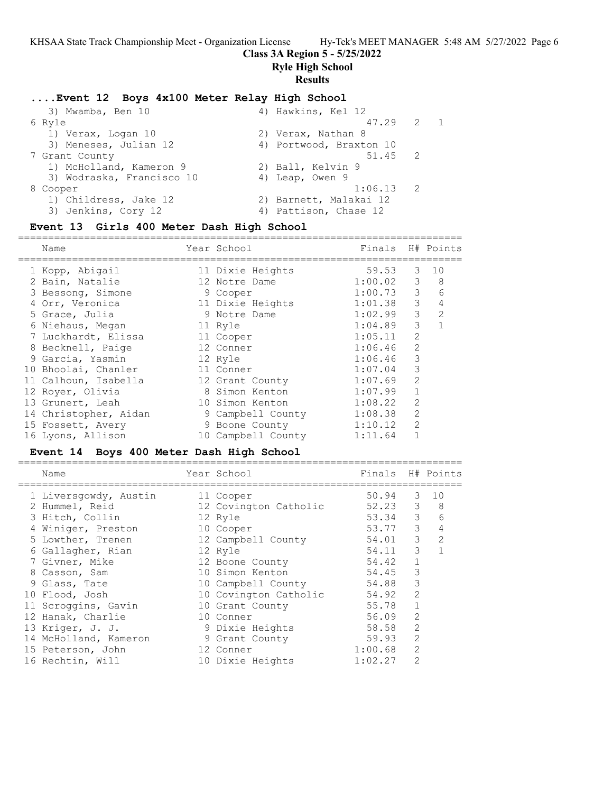## **Class 3A Region 5 - 5/25/2022**

**Ryle High School**

## **Results**

## **....Event 12 Boys 4x100 Meter Relay High School**

| 3) Mwamba, Ben 10         | 4) Hawkins, Kel 12      |                |            |
|---------------------------|-------------------------|----------------|------------|
| 6 Ryle                    | 47.29 2                 |                | $\sqrt{1}$ |
| 1) Verax, Logan 10        | 2) Verax, Nathan 8      |                |            |
| 3) Meneses, Julian 12     | 4) Portwood, Braxton 10 |                |            |
| 7 Grant County            | 51.45 2                 |                |            |
| 1) McHolland, Kameron 9   | 2) Ball, Kelvin 9       |                |            |
| 3) Wodraska, Francisco 10 | 4) Leap, Owen 9         |                |            |
| 8 Cooper                  | 1:06.13                 | $\overline{2}$ |            |
| 1) Childress, Jake 12     | 2) Barnett, Malakai 12  |                |            |
| 3) Jenkins, Cory 12       | 4) Pattison, Chase 12   |                |            |
|                           |                         |                |            |

## **Event 13 Girls 400 Meter Dash High School**

| Name                  | Year School        | Finals  |                | H# Points     |
|-----------------------|--------------------|---------|----------------|---------------|
| 1 Kopp, Abigail       | 11 Dixie Heights   | 59.53   | 3              | 10            |
| 2 Bain, Natalie       | 12 Notre Dame      | 1:00.02 | 3              | 8             |
| 3 Bessong, Simone     | 9 Cooper           | 1:00.73 | 3              | 6             |
| 4 Orr, Veronica       | 11 Dixie Heights   | 1:01.38 | 3              | 4             |
| 5 Grace, Julia        | 9 Notre Dame       | 1:02.99 | 3              | $\mathcal{L}$ |
| 6 Niehaus, Megan      | 11 Ryle            | 1:04.89 | 3              |               |
| 7 Luckhardt, Elissa   | 11 Cooper          | 1:05.11 | $\mathcal{L}$  |               |
| 8 Becknell, Paige     | 12 Conner          | 1:06.46 | $\mathcal{L}$  |               |
| 9 Garcia, Yasmin      | 12 Ryle            | 1:06.46 | 3              |               |
| 10 Bhoolai, Chanler   | 11 Conner          | 1:07.04 | 3              |               |
| 11 Calhoun, Isabella  | 12 Grant County    | 1:07.69 | $\overline{2}$ |               |
| 12 Royer, Olivia      | 8 Simon Kenton     | 1:07.99 |                |               |
| 13 Grunert, Leah      | 10 Simon Kenton    | 1:08.22 | $\mathcal{L}$  |               |
| 14 Christopher, Aidan | 9 Campbell County  | 1:08.38 | $\overline{2}$ |               |
| 15 Fossett, Avery     | 9 Boone County     | 1:10.12 | $\mathcal{L}$  |               |
| 16 Lyons, Allison     | 10 Campbell County | 1:11.64 |                |               |
|                       |                    |         |                |               |

## **Event 14 Boys 400 Meter Dash High School**

| Name                  | Year School           | Finals H# Points |                                                                                                                                                                                                                                                                                                                                                                                                             |               |
|-----------------------|-----------------------|------------------|-------------------------------------------------------------------------------------------------------------------------------------------------------------------------------------------------------------------------------------------------------------------------------------------------------------------------------------------------------------------------------------------------------------|---------------|
| 1 Liversgowdy, Austin | 11 Cooper             | 50.94            | 3                                                                                                                                                                                                                                                                                                                                                                                                           | 10            |
| 2 Hummel, Reid        | 12 Covington Catholic | 52.23            | 3                                                                                                                                                                                                                                                                                                                                                                                                           | 8             |
| 3 Hitch, Collin       | 12 Ryle               | 53.34            | 3                                                                                                                                                                                                                                                                                                                                                                                                           | 6             |
| 4 Winiger, Preston    | 10 Cooper             | 53.77            | 3                                                                                                                                                                                                                                                                                                                                                                                                           | 4             |
| 5 Lowther, Trenen     | 12 Campbell County    | 54.01            | 3                                                                                                                                                                                                                                                                                                                                                                                                           | $\mathcal{L}$ |
| 6 Gallagher, Rian     | 12 Ryle               | 54.11            | 3                                                                                                                                                                                                                                                                                                                                                                                                           |               |
| 7 Givner, Mike        | 12 Boone County       | 54.42            |                                                                                                                                                                                                                                                                                                                                                                                                             |               |
| 8 Casson, Sam         | 10 Simon Kenton       | 54.45            | 3                                                                                                                                                                                                                                                                                                                                                                                                           |               |
| 9 Glass, Tate         | 10 Campbell County    | 54.88            | 3                                                                                                                                                                                                                                                                                                                                                                                                           |               |
| 10 Flood, Josh        | 10 Covington Catholic | 54.92            | $\overline{2}$                                                                                                                                                                                                                                                                                                                                                                                              |               |
| 11 Scroggins, Gavin   | 10 Grant County       | 55.78            |                                                                                                                                                                                                                                                                                                                                                                                                             |               |
| 12 Hanak, Charlie     | 10 Conner             | 56.09            | $\overline{2}$                                                                                                                                                                                                                                                                                                                                                                                              |               |
| 13 Kriger, J. J.      | 9 Dixie Heights       | 58.58            | $\mathcal{L}$                                                                                                                                                                                                                                                                                                                                                                                               |               |
| 14 McHolland, Kameron | 9 Grant County        | 59.93            | 2                                                                                                                                                                                                                                                                                                                                                                                                           |               |
| 15 Peterson, John     | 12 Conner             | 1:00.68          | $\mathcal{L}$                                                                                                                                                                                                                                                                                                                                                                                               |               |
| 16 Rechtin, Will      | 10 Dixie Heights      | 1:02.27          | $\mathfrak{D}_{1}^{(1)} = \mathfrak{D}_{2}^{(1)} = \mathfrak{D}_{2}^{(1)} = \mathfrak{D}_{2}^{(1)} = \mathfrak{D}_{2}^{(1)} = \mathfrak{D}_{2}^{(1)} = \mathfrak{D}_{2}^{(1)} = \mathfrak{D}_{2}^{(1)} = \mathfrak{D}_{2}^{(1)} = \mathfrak{D}_{2}^{(1)} = \mathfrak{D}_{2}^{(1)} = \mathfrak{D}_{2}^{(1)} = \mathfrak{D}_{2}^{(1)} = \mathfrak{D}_{2}^{(1)} = \mathfrak{D}_{2}^{(1)} = \mathfrak{D}_{2}^{$ |               |
|                       |                       |                  |                                                                                                                                                                                                                                                                                                                                                                                                             |               |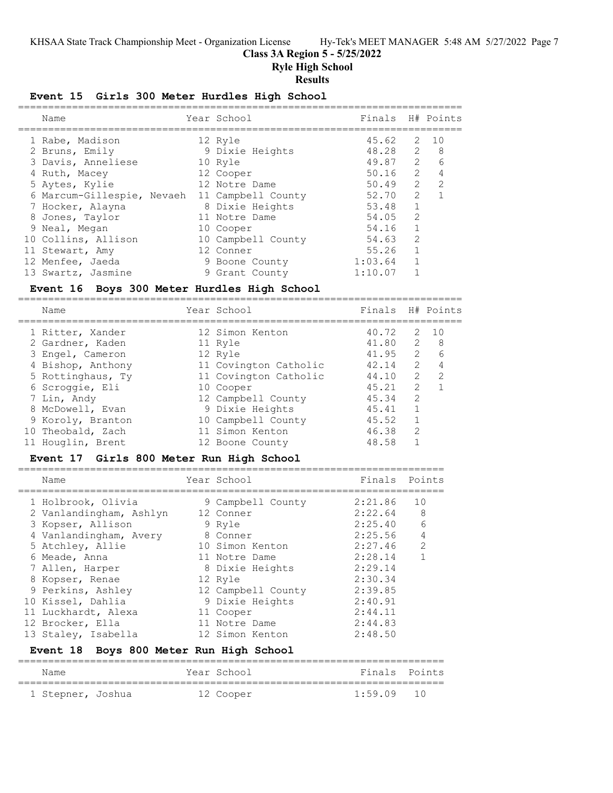## **Class 3A Region 5 - 5/25/2022**

**Ryle High School**

## **Results**

## **Event 15 Girls 300 Meter Hurdles High School**

| Name                       | Year School        | Finals H# Points |               |                |
|----------------------------|--------------------|------------------|---------------|----------------|
| 1 Rabe, Madison            | 12 Ryle            | 45.62            | 2             | 10             |
| 2 Bruns, Emily             | 9 Dixie Heights    | 48.28 2 8        |               |                |
| 3 Davis, Anneliese         | 10 Ryle            | 49.87 2          |               | 6              |
| 4 Ruth, Macey              | 12 Cooper          | 50.16            | 2             | 4              |
| 5 Aytes, Kylie             | 12 Notre Dame      | 50.49            | $\mathcal{L}$ | $\overline{2}$ |
| 6 Marcum-Gillespie, Nevaeh | 11 Campbell County | 52.70            | $\mathcal{P}$ |                |
| 7 Hocker, Alayna           | 8 Dixie Heights    | 53.48            | 1             |                |
| 8 Jones, Taylor            | 11 Notre Dame      | 54.05            | $\mathcal{L}$ |                |
| 9 Neal, Megan              | 10 Cooper          | 54.16            |               |                |
| 10 Collins, Allison        | 10 Campbell County | 54.63            | $\mathcal{L}$ |                |
| 11 Stewart, Amy            | 12 Conner          | 55.26            | 1             |                |
| 12 Menfee, Jaeda           | 9 Boone County     | 1:03.64          |               |                |
| 13 Swartz, Jasmine         | 9 Grant County     | 1:10.07          |               |                |

## **Event 16 Boys 300 Meter Hurdles High School**

==========================================================================

| Name              | Year School           | Finals H# Points |               |             |
|-------------------|-----------------------|------------------|---------------|-------------|
| 1 Ritter, Xander  | 12 Simon Kenton       | 40.72            | 2             | $\sqrt{10}$ |
| 2 Gardner, Kaden  | 11 Ryle               | 41.80            | 2             | - 8         |
| 3 Engel, Cameron  | 12 Ryle               | 41.95            | $\mathcal{L}$ | 6           |
| 4 Bishop, Anthony | 11 Covington Catholic | 42.14            | $\mathcal{L}$ | 4           |
| 5 Rottinghaus, Ty | 11 Covington Catholic | 44.10            | 2             | 2           |
| 6 Scroggie, Eli   | 10 Cooper             | 45.21            | 2             |             |
| 7 Lin, Andy       | 12 Campbell County    | 45.34            | $\mathcal{L}$ |             |
| 8 McDowell, Evan  | 9 Dixie Heights       | 45.41            |               |             |
| 9 Koroly, Branton | 10 Campbell County    | 45.52            |               |             |
| 10 Theobald, Zach | 11 Simon Kenton       | 46.38            | $\mathcal{L}$ |             |
| 11 Houglin, Brent | 12 Boone County       | 48.58            |               |             |

## **Event 17 Girls 800 Meter Run High School**

|  | Name                    | Year School        | Finals Points |                |
|--|-------------------------|--------------------|---------------|----------------|
|  | 1 Holbrook, Olivia      | 9 Campbell County  | 2:21.86       | 10             |
|  | 2 Vanlandingham, Ashlyn | 12 Conner          | 2:22.64       | -8             |
|  | 3 Kopser, Allison       | 9 Ryle             | 2:25.40       | - 6            |
|  | 4 Vanlandingham, Avery  | 8 Conner           | 2:25.56       | $\overline{4}$ |
|  | 5 Atchley, Allie        | 10 Simon Kenton    | 2:27.46       | 2              |
|  | 6 Meade, Anna           | 11 Notre Dame      | 2:28.14       |                |
|  | 7 Allen, Harper         | 8 Dixie Heights    | 2:29.14       |                |
|  | 8 Kopser, Renae         | 12 Ryle            | 2:30.34       |                |
|  | 9 Perkins, Ashley       | 12 Campbell County | 2:39.85       |                |
|  | 10 Kissel, Dahlia       | 9 Dixie Heights    | 2:40.91       |                |
|  | 11 Luckhardt, Alexa     | 11 Cooper          | 2:44.11       |                |
|  | 12 Brocker, Ella        | 11 Notre Dame      | 2:44.83       |                |
|  | 13 Staley, Isabella     | 12 Simon Kenton    | 2:48.50       |                |
|  |                         |                    |               |                |

## **Event 18 Boys 800 Meter Run High School**

| Name              | Year School | Finals Points |  |
|-------------------|-------------|---------------|--|
| 1 Stepner, Joshua | 12 Cooper   | 1:59.09 10    |  |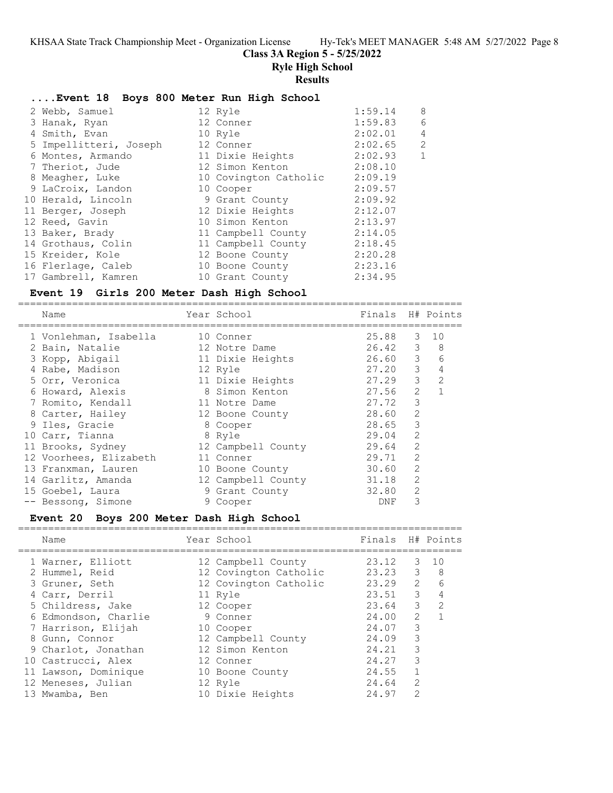## **Class 3A Region 5 - 5/25/2022**

**Ryle High School**

#### **Results**

#### **....Event 18 Boys 800 Meter Run High School**

| 2 Webb, Samuel         | 12 Ryle               | 1:59.14 | 8              |
|------------------------|-----------------------|---------|----------------|
| 3 Hanak, Ryan          | 12 Conner             | 1:59.83 | 6              |
| 4 Smith, Evan          | 10 Ryle               | 2:02.01 | $\overline{4}$ |
| 5 Impellitteri, Joseph | 12 Conner             | 2:02.65 | 2              |
| 6 Montes, Armando      | 11 Dixie Heights      | 2:02.93 | $\mathbf{1}$   |
| 7 Theriot, Jude        | 12 Simon Kenton       | 2:08.10 |                |
| 8 Meagher, Luke        | 10 Covington Catholic | 2:09.19 |                |
| 9 LaCroix, Landon      | 10 Cooper             | 2:09.57 |                |
| 10 Herald, Lincoln     | 9 Grant County        | 2:09.92 |                |
| 11 Berger, Joseph      | 12 Dixie Heights      | 2:12.07 |                |
| 12 Reed, Gavin         | 10 Simon Kenton       | 2:13.97 |                |
| 13 Baker, Brady        | 11 Campbell County    | 2:14.05 |                |
| 14 Grothaus, Colin     | 11 Campbell County    | 2:18.45 |                |
| 15 Kreider, Kole       | 12 Boone County       | 2:20.28 |                |
| 16 Flerlage, Caleb     | 10 Boone County       | 2:23.16 |                |
| 17 Gambrell, Kamren    | 10 Grant County       | 2:34.95 |                |

## **Event 19 Girls 200 Meter Dash High School**

========================================================================== Name The School Chamber of Times H# Points ========================================================================== 1 Vonlehman, Isabella 10 Conner 25.88 3 10 2 Bain, Natalie 12 Notre Dame 26.42 3 8 3 Kopp, Abigail 11 Dixie Heights 26.60 3 6 4 Rabe, Madison 12 Ryle 27.20 3 4 5 Orr, Veronica 11 Dixie Heights 27.29 3 2 6 Howard, Alexis 8 Simon Kenton 27.56 2 1 7 Romito, Kendall 11 Notre Dame 27.72 3 8 Carter, Hailey 12 Boone County 28.60 2 9 Iles, Gracie 8 Cooper 28.65 3 10 Carr, Tianna 8 Ryle 29.04 2 11 Brooks, Sydney 12 Campbell County 29.64 2 12 Voorhees, Elizabeth 11 Conner 29.71 2 13 Franxman, Lauren 10 Boone County 30.60 2 14 Garlitz, Amanda 12 Campbell County 31.18 2 15 Goebel, Laura 9 Grant County 32.80 2 -- Bessong, Simone 9 Cooper 9 DNF 3

#### **Event 20 Boys 200 Meter Dash High School** ==========================================================================

| Name                 | Year School           | Finals H# Points |                |                |
|----------------------|-----------------------|------------------|----------------|----------------|
| 1 Warner, Elliott    | 12 Campbell County    | 23.12            | 3              | 10             |
| 2 Hummel, Reid       | 12 Covington Catholic | 23.23            | 3              | -8             |
| 3 Gruner, Seth       | 12 Covington Catholic | 23.29            | $2^{\circ}$    | 6              |
| 4 Carr, Derril       | 11 Ryle               | 23.51            | 3              | $\overline{4}$ |
| 5 Childress, Jake    | 12 Cooper             | 23.64            | 3              | $\mathcal{L}$  |
| 6 Edmondson, Charlie | 9 Conner              | 24.00            | $\mathfrak{D}$ |                |
| 7 Harrison, Elijah   | 10 Cooper             | 24.07            | 3              |                |
| 8 Gunn, Connor       | 12 Campbell County    | 24.09            | 3              |                |
| 9 Charlot, Jonathan  | 12 Simon Kenton       | 24.21            | 3              |                |
| 10 Castrucci, Alex   | 12 Conner             | 24.27            | 3              |                |
| 11 Lawson, Dominique | 10 Boone County       | 24.55            |                |                |
| 12 Meneses, Julian   | 12 Ryle               | 24.64            | $\mathcal{L}$  |                |
| 13 Mwamba, Ben       | 10 Dixie Heights      | 24.97            | 2              |                |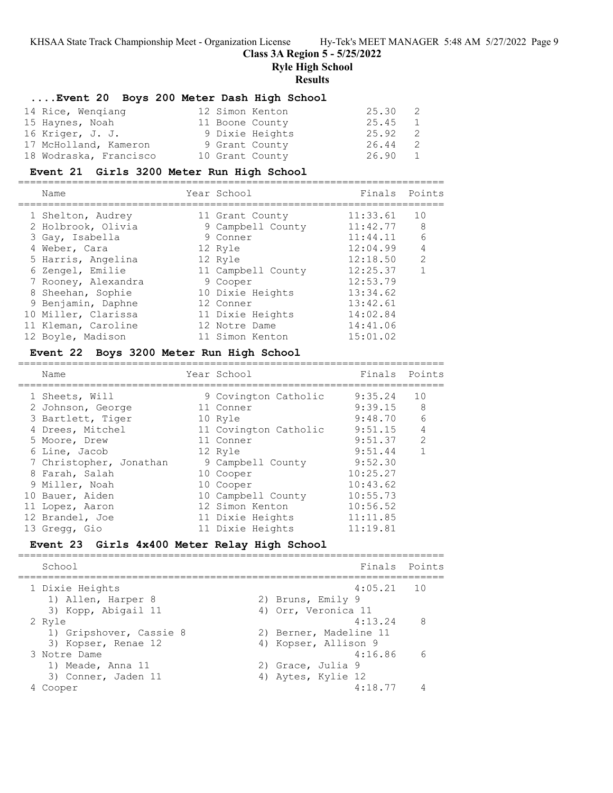## **Class 3A Region 5 - 5/25/2022**

**Ryle High School**

#### **Results**

## **....Event 20 Boys 200 Meter Dash High School**

| 14 Rice, Wengiang      | 12 Simon Kenton | 25.30 2   |                |
|------------------------|-----------------|-----------|----------------|
| 15 Haynes, Noah        | 11 Boone County | $25.45$ 1 |                |
| 16 Kriger, J. J.       | 9 Dixie Heights | 25.92     | $\overline{2}$ |
| 17 McHolland, Kameron  | 9 Grant County  | 26.44     | 2              |
| 18 Wodraska, Francisco | 10 Grant County | 26.90     | 1              |

#### **Event 21 Girls 3200 Meter Run High School**

======================================================================= Name Year School Finals Points ======================================================================= 1 Shelton, Audrey 11 Grant County 11:33.61 10 2 Holbrook, Olivia 9 Campbell County 11:42.77 8 3 Gay, Isabella 9 Conner 11:44.11 6 4 Weber, Cara 12 Ryle 12:04.99 4 5 Harris, Angelina 12 Ryle 12:18.50 2 6 Zengel, Emilie 11 Campbell County 12:25.37 1 7 Rooney, Alexandra 9 Cooper 12:53.79 8 Sheehan, Sophie 10 Dixie Heights 13:34.62 9 Benjamin, Daphne 12 Conner 13:42.61 10 Miller, Clarissa 11 Dixie Heights 14:02.84 11 Kleman, Caroline 12 Notre Dame 14:41.06 12 Boyle, Madison 11 Simon Kenton 15:01.02

## **Event 22 Boys 3200 Meter Run High School**

| Name                    | Year School           | Finals   | Points |
|-------------------------|-----------------------|----------|--------|
| 1 Sheets, Will          | 9 Covington Catholic  | 9:35.24  | 10     |
| 2 Johnson, George       | 11 Conner             | 9:39.15  | 8      |
| 3 Bartlett, Tiger       | 10 Ryle               | 9:48.70  | 6      |
| 4 Drees, Mitchel        | 11 Covington Catholic | 9:51.15  | 4      |
| 5 Moore, Drew           | 11 Conner             | 9:51.37  | 2      |
| 6 Line, Jacob           | 12 Ryle               | 9:51.44  |        |
| 7 Christopher, Jonathan | 9 Campbell County     | 9:52.30  |        |
| 8 Farah, Salah          | 10 Cooper             | 10:25.27 |        |
| 9 Miller, Noah          | 10 Cooper             | 10:43.62 |        |
| 10 Bauer, Aiden         | 10 Campbell County    | 10:55.73 |        |
| 11 Lopez, Aaron         | 12 Simon Kenton       | 10:56.52 |        |
| 12 Brandel, Joe         | 11 Dixie Heights      | 11:11.85 |        |
| 13 Gregg, Gio           | 11 Dixie Heights      | 11:19.81 |        |

=======================================================================

## **Event 23 Girls 4x400 Meter Relay High School**

======================================================================= Finals Points ======================================================================= 1 Dixie Heights 4:05.21 10 1) Allen, Harper 8 2) Bruns, Emily 9 3) Kopp, Abigail 11 4) Orr, Veronica 11 2 Ryle 4:13.24 8 1) Gripshover, Cassie 8 2) Berner, Madeline 11 3) Kopser, Renae 12 (4) Kopser, Allison 9 3 Notre Dame 4:16.86 6 1) Meade, Anna 11 120 20 Grace, Julia 9 3) Conner, Jaden 11 4) Aytes, Kylie 12 4 Cooper 4:18.77 4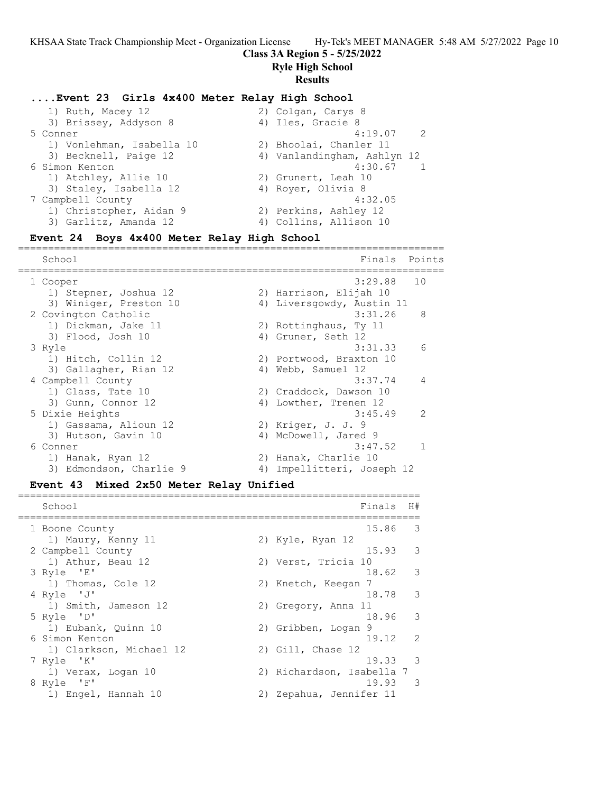## **Class 3A Region 5 - 5/25/2022**

**Ryle High School**

#### **Results**

## **....Event 23 Girls 4x400 Meter Relay High School**

| 1) Ruth, Macey 12         | 2) Colgan, Carys 8          |
|---------------------------|-----------------------------|
| 3) Brissey, Addyson 8     | 4) Iles, Gracie 8           |
| 5 Conner                  | $4:19.07$ 2                 |
| 1) Vonlehman, Isabella 10 | 2) Bhoolai, Chanler 11      |
| 3) Becknell, Paige 12     | 4) Vanlandingham, Ashlyn 12 |
| 6 Simon Kenton            | 4:30.67<br>$\overline{1}$   |
| 1) Atchley, Allie 10      | 2) Grunert, Leah 10         |
| 3) Staley, Isabella 12    | 4) Royer, Olivia 8          |
| 7 Campbell County         | 4:32.05                     |
| 1) Christopher, Aidan 9   | 2) Perkins, Ashley 12       |
| 3) Garlitz, Amanda 12     | 4) Collins, Allison 10      |
|                           |                             |

## **Event 24 Boys 4x400 Meter Relay High School**

======================================================================= School Finals Points ======================================================================= 1 Cooper 3:29.88 10 1) Stepner, Joshua 12 2) Harrison, Elijah 10 3) Winiger, Preston 10 4) Liversgowdy, Austin 11 2 Covington Catholic 3:31.26 8 1) Dickman, Jake 11 2) Rottinghaus, Ty 11 3) Flood, Josh 10 4) Gruner, Seth 12 3 Ryle 3:31.33 6 1) Hitch, Collin 12 2) Portwood, Braxton 10 3) Gallagher, Rian 12 (4) Webb, Samuel 12 4 Campbell County 3:37.74 4 1) Glass, Tate 10 2) Craddock, Dawson 10 3) Gunn, Connor 12 4) Lowther, Trenen 12 5 Dixie Heights 3:45.49 2 1) Gassama, Alioun 12 2) Kriger, J. J. 9 3) Hutson, Gavin 10 4) McDowell, Jared 9 6 Conner 3:47.52 1 1) Hanak, Ryan 12 2) Hanak, Charlie 10 3) Edmondson, Charlie 9 4) Impellitteri, Joseph 12

## **Event 43 Mixed 2x50 Meter Relay Unified**

| School                  | Finals<br>H#                      |
|-------------------------|-----------------------------------|
| 1 Boone County          | 15.86<br>-3                       |
| 1) Maury, Kenny 11      | 2) Kyle, Ryan 12                  |
| 2 Campbell County       | $\overline{\mathbf{3}}$<br>15.93  |
| 1) Athur, Beau 12       | 2) Verst, Tricia 10               |
| 3 Ryle 'E'              | 18.62 3                           |
| 1) Thomas, Cole 12      | 2) Knetch, Keegan<br>-7           |
| 4 Ryle 'J'              | 18.78 3                           |
| 1) Smith, Jameson 12    | 2) Gregory, Anna 11               |
| 5 Ryle 'D'              | $\overline{\phantom{a}}$<br>18.96 |
| 1) Eubank, Quinn 10     | 2) Gribben, Logan<br>- 9          |
| 6 Simon Kenton          | $19.12 \quad 2$                   |
| 1) Clarkson, Michael 12 | 2) Gill, Chase 12                 |
| 7 Ryle 'K'              | $\mathcal{R}$<br>19.33            |
| 1) Verax, Logan 10      | 2) Richardson, Isabella 7         |
| 8 Ryle 'F'              | 19.93<br>$\mathcal{R}$            |
| 1) Engel, Hannah 10     | 2) Zepahua, Jennifer 11           |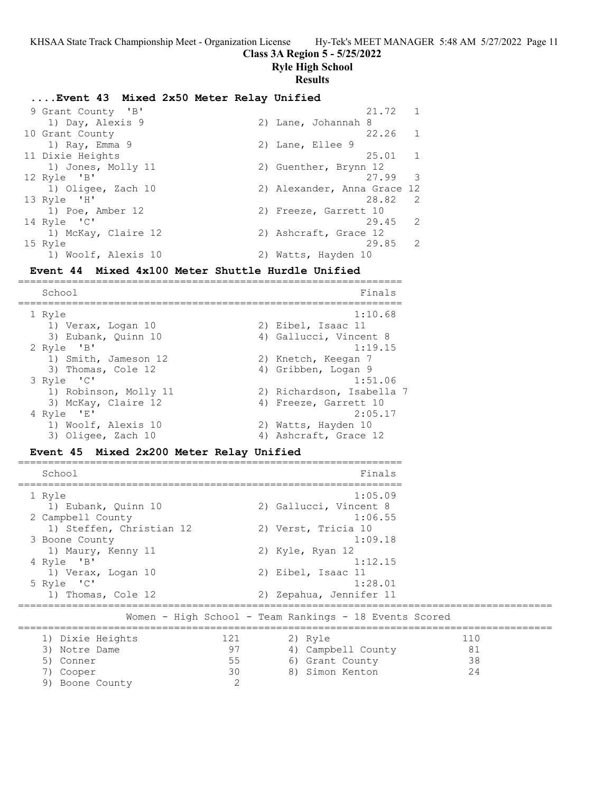## **Class 3A Region 5 - 5/25/2022**

**Ryle High School**

## **Results**

## **....Event 43 Mixed 2x50 Meter Relay Unified**

| 9 Grant County 'B'  | 21.72                       |
|---------------------|-----------------------------|
| 1) Day, Alexis 9    | 2) Lane, Johannah 8         |
| 10 Grant County     | 22.26<br>$\overline{1}$     |
| 1) Ray, Emma 9      | 2) Lane, Ellee 9            |
| 11 Dixie Heights    | $25.01 \t1$                 |
| 1) Jones, Molly 11  | 2) Guenther, Brynn 12       |
| 12 Ryle 'B'         | 27.99<br>$\mathcal{S}$      |
| 1) Oligee, Zach 10  | 2) Alexander, Anna Grace 12 |
| $13$ Ryle $'$ H'    | 28.82<br>$\overline{2}$     |
| 1) Poe, Amber 12    | 2) Freeze, Garrett 10       |
| 14 Ryle 'C'         | $29.45$ 2                   |
| 1) McKay, Claire 12 | 2) Ashcraft, Grace 12       |
| 15 Ryle             | 29.85 2                     |
| 1) Woolf, Alexis 10 | 2) Watts, Hayden 10         |

## **Event 44 Mixed 4x100 Meter Shuttle Hurdle Unified**

| School                | Finals                    |
|-----------------------|---------------------------|
| 1 Ryle                | 1:10.68                   |
| 1) Verax, Logan 10    | 2) Eibel, Isaac 11        |
| 3) Eubank, Ouinn 10   | 4) Gallucci, Vincent 8    |
| 2 Ryle 'B'            | 1:19.15                   |
| 1) Smith, Jameson 12  | 2) Knetch, Keegan 7       |
| 3) Thomas, Cole 12    | 4) Gribben, Logan 9       |
| 3 Ryle 'C'            | 1:51.06                   |
| 1) Robinson, Molly 11 | 2) Richardson, Isabella 7 |
| 3) McKay, Claire 12   | 4) Freeze, Garrett 10     |
| 4 Ryle 'E'            | 2:05.17                   |
| 1) Woolf, Alexis 10   | 2) Watts, Hayden 10       |
| 3) Oligee, Zach 10    | 4) Ashcraft, Grace 12     |

# **Event 45 Mixed 2x200 Meter Relay Unified**

| School                   | Finals                                                 |     |
|--------------------------|--------------------------------------------------------|-----|
| 1 Ryle                   | 1:05.09                                                |     |
| 1) Eubank, Quinn 10      | 2) Gallucci, Vincent 8                                 |     |
| 2 Campbell County        | 1:06.55                                                |     |
| 1) Steffen, Christian 12 | 2) Verst, Tricia 10                                    |     |
| 3 Boone County           | 1:09.18                                                |     |
| 1) Maury, Kenny 11       | 2) Kyle, Ryan 12                                       |     |
| 4 Ryle 'B'               | 1:12.15                                                |     |
| 1) Verax, Logan 10       | 2) Eibel, Isaac 11                                     |     |
| 5 Ryle 'C'               | 1:28.01                                                |     |
| 1) Thomas, Cole 12       | 2) Zepahua, Jennifer 11                                |     |
|                          | Women - High School - Team Rankings - 18 Events Scored |     |
| 121<br>1) Dixie Heights  | 2) Ryle                                                | 110 |
| 97<br>Notre Dame<br>3)   | 4) Campbell County                                     | 81  |
| 55<br>Conner<br>5)       | 6) Grant County                                        | 38  |
| 30<br>Cooper<br>7)       | 8) Simon Kenton                                        | 24  |
| 2<br>9) Boone County     |                                                        |     |

================================================================